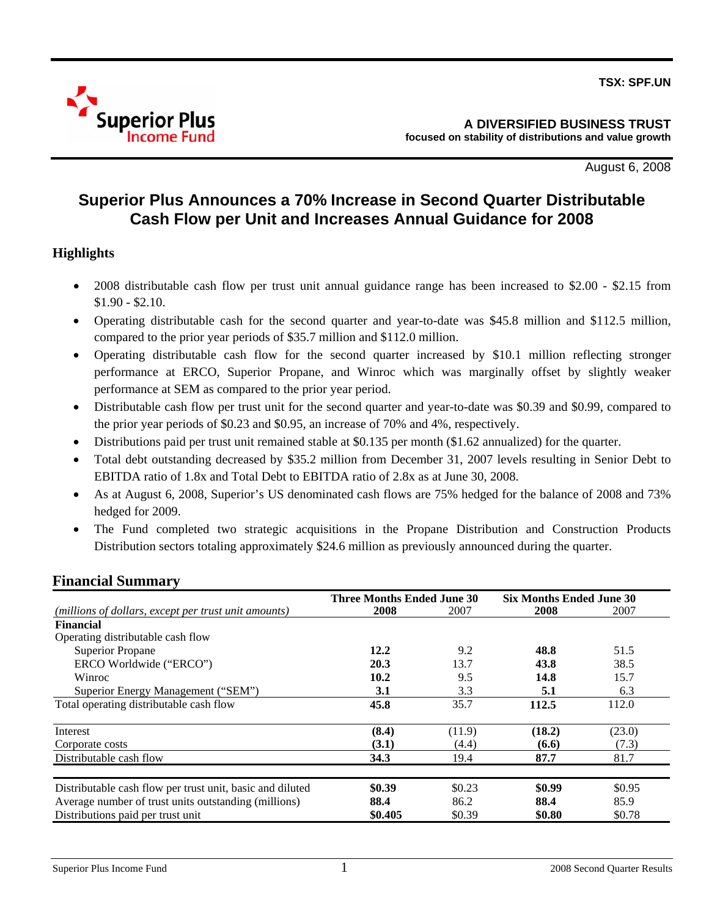

August 6, 2008

# **Superior Plus Announces a 70% Increase in Second Quarter Distributable Cash Flow per Unit and Increases Annual Guidance for 2008**

# **Highlights**

- 2008 distributable cash flow per trust unit annual guidance range has been increased to \$2.00 \$2.15 from \$1.90 - \$2.10.
- Operating distributable cash for the second quarter and year-to-date was \$45.8 million and \$112.5 million, compared to the prior year periods of \$35.7 million and \$112.0 million.
- Operating distributable cash flow for the second quarter increased by \$10.1 million reflecting stronger performance at ERCO, Superior Propane, and Winroc which was marginally offset by slightly weaker performance at SEM as compared to the prior year period.
- Distributable cash flow per trust unit for the second quarter and year-to-date was \$0.39 and \$0.99, compared to the prior year periods of \$0.23 and \$0.95, an increase of 70% and 4%, respectively.
- Distributions paid per trust unit remained stable at \$0.135 per month (\$1.62 annualized) for the quarter.
- Total debt outstanding decreased by \$35.2 million from December 31, 2007 levels resulting in Senior Debt to EBITDA ratio of 1.8x and Total Debt to EBITDA ratio of 2.8x as at June 30, 2008.
- As at August 6, 2008, Superior's US denominated cash flows are 75% hedged for the balance of 2008 and 73% hedged for 2009.
- The Fund completed two strategic acquisitions in the Propane Distribution and Construction Products Distribution sectors totaling approximately \$24.6 million as previously announced during the quarter.

|                                                           | <b>Three Months Ended June 30</b> |        | <b>Six Months Ended June 30</b> |        |
|-----------------------------------------------------------|-----------------------------------|--------|---------------------------------|--------|
| (millions of dollars, except per trust unit amounts)      | 2008                              | 2007   | 2008                            | 2007   |
| <b>Financial</b>                                          |                                   |        |                                 |        |
| Operating distributable cash flow                         |                                   |        |                                 |        |
| <b>Superior Propane</b>                                   | 12.2                              | 9.2    | 48.8                            | 51.5   |
| ERCO Worldwide ("ERCO")                                   | 20.3                              | 13.7   | 43.8                            | 38.5   |
| Winroc                                                    | 10.2                              | 9.5    | 14.8                            | 15.7   |
| Superior Energy Management ("SEM")                        | 3.1                               | 3.3    | 5.1                             | 6.3    |
| Total operating distributable cash flow                   | 45.8                              | 35.7   | 112.5                           | 112.0  |
| Interest                                                  | (8.4)                             | (11.9) | (18.2)                          | (23.0) |
| Corporate costs                                           | (3.1)                             | (4.4)  | (6.6)                           | (7.3)  |
| Distributable cash flow                                   | 34.3                              | 19.4   | 87.7                            | 81.7   |
| Distributable cash flow per trust unit, basic and diluted | \$0.39                            | \$0.23 | \$0.99                          | \$0.95 |
| Average number of trust units outstanding (millions)      | 88.4                              | 86.2   | 88.4                            | 85.9   |
| Distributions paid per trust unit                         | \$0.405                           | \$0.39 | \$0.80                          | \$0.78 |

# **Financial Summary**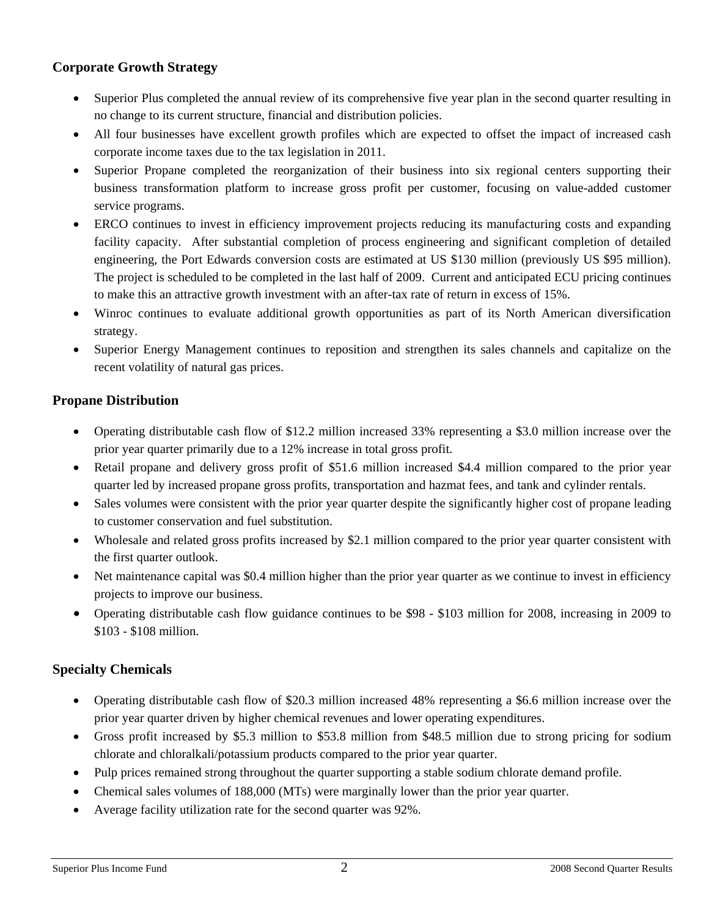# **Corporate Growth Strategy**

- Superior Plus completed the annual review of its comprehensive five year plan in the second quarter resulting in no change to its current structure, financial and distribution policies.
- All four businesses have excellent growth profiles which are expected to offset the impact of increased cash corporate income taxes due to the tax legislation in 2011.
- Superior Propane completed the reorganization of their business into six regional centers supporting their business transformation platform to increase gross profit per customer, focusing on value-added customer service programs.
- ERCO continues to invest in efficiency improvement projects reducing its manufacturing costs and expanding facility capacity. After substantial completion of process engineering and significant completion of detailed engineering, the Port Edwards conversion costs are estimated at US \$130 million (previously US \$95 million). The project is scheduled to be completed in the last half of 2009. Current and anticipated ECU pricing continues to make this an attractive growth investment with an after-tax rate of return in excess of 15%.
- Winroc continues to evaluate additional growth opportunities as part of its North American diversification strategy.
- Superior Energy Management continues to reposition and strengthen its sales channels and capitalize on the recent volatility of natural gas prices.

### **Propane Distribution**

- Operating distributable cash flow of \$12.2 million increased 33% representing a \$3.0 million increase over the prior year quarter primarily due to a 12% increase in total gross profit.
- Retail propane and delivery gross profit of \$51.6 million increased \$4.4 million compared to the prior year quarter led by increased propane gross profits, transportation and hazmat fees, and tank and cylinder rentals.
- Sales volumes were consistent with the prior year quarter despite the significantly higher cost of propane leading to customer conservation and fuel substitution.
- Wholesale and related gross profits increased by \$2.1 million compared to the prior year quarter consistent with the first quarter outlook.
- Net maintenance capital was \$0.4 million higher than the prior year quarter as we continue to invest in efficiency projects to improve our business.
- Operating distributable cash flow guidance continues to be \$98 \$103 million for 2008, increasing in 2009 to \$103 - \$108 million.

# **Specialty Chemicals**

- Operating distributable cash flow of \$20.3 million increased 48% representing a \$6.6 million increase over the prior year quarter driven by higher chemical revenues and lower operating expenditures.
- Gross profit increased by \$5.3 million to \$53.8 million from \$48.5 million due to strong pricing for sodium chlorate and chloralkali/potassium products compared to the prior year quarter.
- Pulp prices remained strong throughout the quarter supporting a stable sodium chlorate demand profile.
- Chemical sales volumes of 188,000 (MTs) were marginally lower than the prior year quarter.
- Average facility utilization rate for the second quarter was 92%.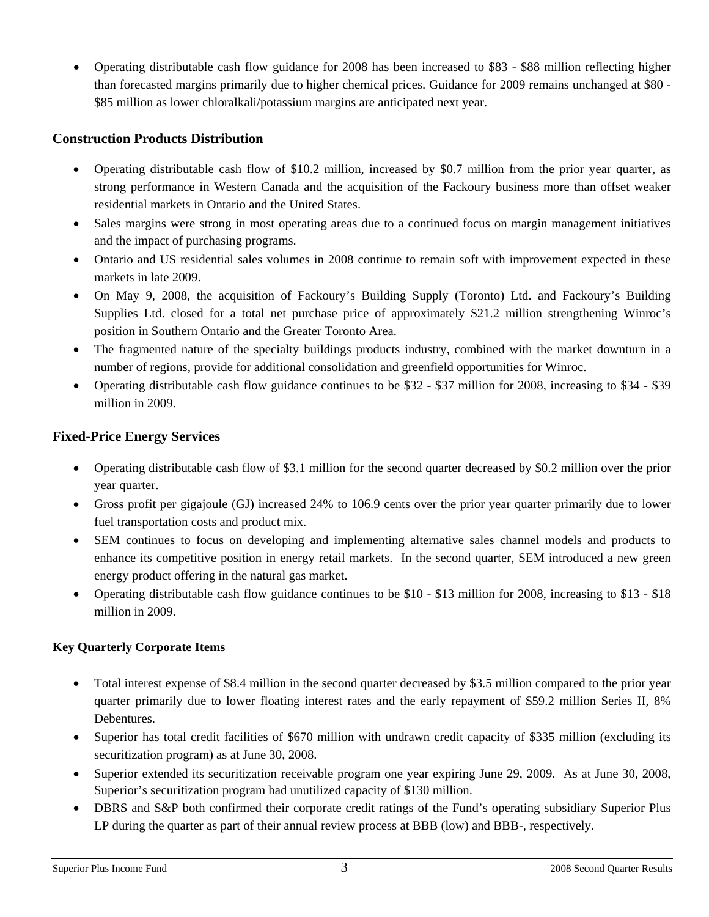• Operating distributable cash flow guidance for 2008 has been increased to \$83 - \$88 million reflecting higher than forecasted margins primarily due to higher chemical prices. Guidance for 2009 remains unchanged at \$80 - \$85 million as lower chloralkali/potassium margins are anticipated next year.

### **Construction Products Distribution**

- Operating distributable cash flow of \$10.2 million, increased by \$0.7 million from the prior year quarter, as strong performance in Western Canada and the acquisition of the Fackoury business more than offset weaker residential markets in Ontario and the United States.
- Sales margins were strong in most operating areas due to a continued focus on margin management initiatives and the impact of purchasing programs.
- Ontario and US residential sales volumes in 2008 continue to remain soft with improvement expected in these markets in late 2009.
- On May 9, 2008, the acquisition of Fackoury's Building Supply (Toronto) Ltd. and Fackoury's Building Supplies Ltd. closed for a total net purchase price of approximately \$21.2 million strengthening Winroc's position in Southern Ontario and the Greater Toronto Area.
- The fragmented nature of the specialty buildings products industry, combined with the market downturn in a number of regions, provide for additional consolidation and greenfield opportunities for Winroc.
- Operating distributable cash flow guidance continues to be \$32 \$37 million for 2008, increasing to \$34 \$39 million in 2009.

# **Fixed-Price Energy Services**

- Operating distributable cash flow of \$3.1 million for the second quarter decreased by \$0.2 million over the prior year quarter.
- Gross profit per gigajoule (GJ) increased 24% to 106.9 cents over the prior year quarter primarily due to lower fuel transportation costs and product mix.
- SEM continues to focus on developing and implementing alternative sales channel models and products to enhance its competitive position in energy retail markets. In the second quarter, SEM introduced a new green energy product offering in the natural gas market.
- Operating distributable cash flow guidance continues to be \$10 \$13 million for 2008, increasing to \$13 \$18 million in 2009.

# **Key Quarterly Corporate Items**

- Total interest expense of \$8.4 million in the second quarter decreased by \$3.5 million compared to the prior year quarter primarily due to lower floating interest rates and the early repayment of \$59.2 million Series II, 8% Debentures.
- Superior has total credit facilities of \$670 million with undrawn credit capacity of \$335 million (excluding its securitization program) as at June 30, 2008.
- Superior extended its securitization receivable program one year expiring June 29, 2009. As at June 30, 2008, Superior's securitization program had unutilized capacity of \$130 million.
- DBRS and S&P both confirmed their corporate credit ratings of the Fund's operating subsidiary Superior Plus LP during the quarter as part of their annual review process at BBB (low) and BBB-, respectively.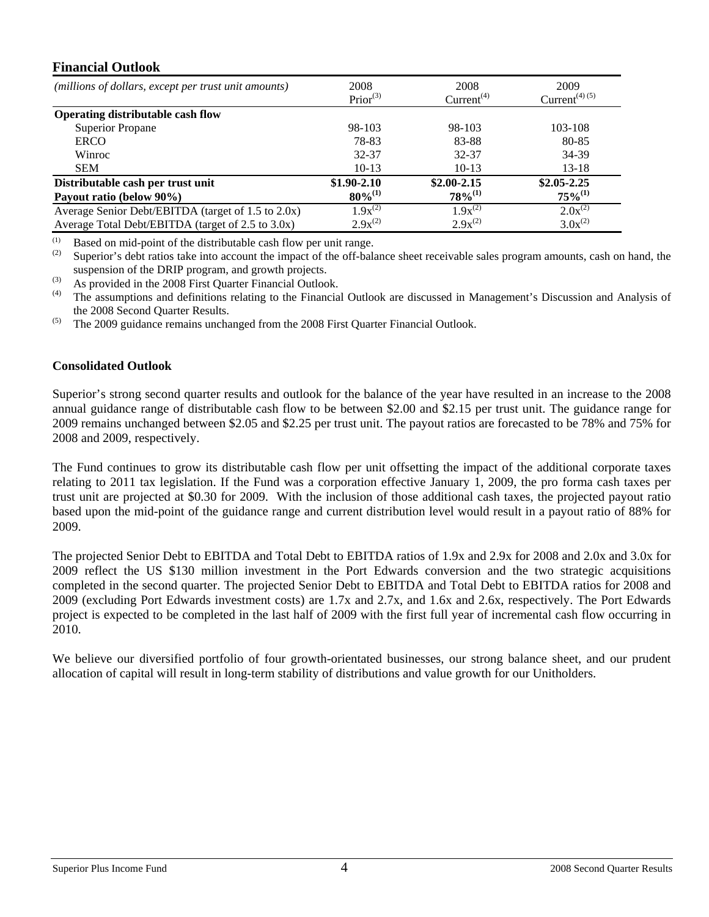#### **Financial Outlook**

| т шапски слигот                                      |                              |                                |                                    |
|------------------------------------------------------|------------------------------|--------------------------------|------------------------------------|
| (millions of dollars, except per trust unit amounts) | 2008<br>Prior <sup>(3)</sup> | 2008<br>Current <sup>(4)</sup> | 2009<br>Current <sup>(4) (5)</sup> |
| Operating distributable cash flow                    |                              |                                |                                    |
| Superior Propane                                     | 98-103                       | 98-103                         | 103-108                            |
| <b>ERCO</b>                                          | 78-83                        | 83-88                          | 80-85                              |
| <b>Winroc</b>                                        | 32-37                        | 32-37                          | 34-39                              |
| <b>SEM</b>                                           | $10-13$                      | $10-13$                        | $13 - 18$                          |
| Distributable cash per trust unit                    | $$1,90-2.10$                 | $$2.00 - 2.15$                 | $$2.05 - 2.25$                     |
| Payout ratio (below 90%)                             | $80\%^{(1)}$                 | $78%^{(1)}$                    | $75\%^{(1)}$                       |
| Average Senior Debt/EBITDA (target of 1.5 to 2.0x)   | $1.9x^{(2)}$                 | $1.9x^{(2)}$                   | $2.0x^{(2)}$                       |
| Average Total Debt/EBITDA (target of 2.5 to 3.0x)    | $2.9x^{(2)}$                 | $2.9x^{(2)}$                   | $3.0x^{(2)}$                       |

 $(1)$ (1) Based on mid-point of the distributable cash flow per unit range.<br>(2) Superior's dobt ratios take into account the impact of the off half

Superior's debt ratios take into account the impact of the off-balance sheet receivable sales program amounts, cash on hand, the suspension of the DRIP program, and growth projects.

(3) As provided in the 2008 First Quarter Financial Outlook.

The assumptions and definitions relating to the Financial Outlook are discussed in Management's Discussion and Analysis of the 2008 Second Quarter Results.

 $(5)$  The 2009 guidance remains unchanged from the 2008 First Quarter Financial Outlook.

#### **Consolidated Outlook**

Superior's strong second quarter results and outlook for the balance of the year have resulted in an increase to the 2008 annual guidance range of distributable cash flow to be between \$2.00 and \$2.15 per trust unit. The guidance range for 2009 remains unchanged between \$2.05 and \$2.25 per trust unit. The payout ratios are forecasted to be 78% and 75% for 2008 and 2009, respectively.

The Fund continues to grow its distributable cash flow per unit offsetting the impact of the additional corporate taxes relating to 2011 tax legislation. If the Fund was a corporation effective January 1, 2009, the pro forma cash taxes per trust unit are projected at \$0.30 for 2009. With the inclusion of those additional cash taxes, the projected payout ratio based upon the mid-point of the guidance range and current distribution level would result in a payout ratio of 88% for 2009.

The projected Senior Debt to EBITDA and Total Debt to EBITDA ratios of 1.9x and 2.9x for 2008 and 2.0x and 3.0x for 2009 reflect the US \$130 million investment in the Port Edwards conversion and the two strategic acquisitions completed in the second quarter. The projected Senior Debt to EBITDA and Total Debt to EBITDA ratios for 2008 and 2009 (excluding Port Edwards investment costs) are 1.7x and 2.7x, and 1.6x and 2.6x, respectively. The Port Edwards project is expected to be completed in the last half of 2009 with the first full year of incremental cash flow occurring in 2010.

We believe our diversified portfolio of four growth-orientated businesses, our strong balance sheet, and our prudent allocation of capital will result in long-term stability of distributions and value growth for our Unitholders.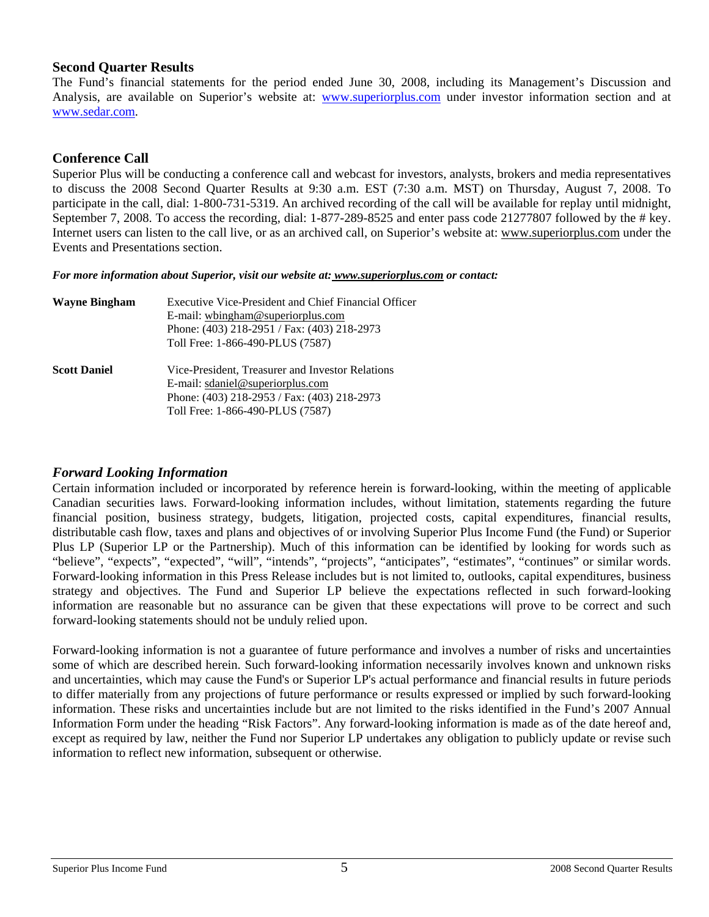#### **Second Quarter Results**

The Fund's financial statements for the period ended June 30, 2008, including its Management's Discussion and Analysis, are available on Superior's website at: www.superiorplus.com under investor information section and at www.sedar.com.

## **Conference Call**

Superior Plus will be conducting a conference call and webcast for investors, analysts, brokers and media representatives to discuss the 2008 Second Quarter Results at 9:30 a.m. EST (7:30 a.m. MST) on Thursday, August 7, 2008. To participate in the call, dial: 1-800-731-5319. An archived recording of the call will be available for replay until midnight, September 7, 2008. To access the recording, dial: 1-877-289-8525 and enter pass code 21277807 followed by the # key. Internet users can listen to the call live, or as an archived call, on Superior's website at: www.superiorplus.com under the Events and Presentations section.

*For more information about Superior, visit our website at: www.superiorplus.com or contact:* 

| <b>Wayne Bingham</b> | Executive Vice-President and Chief Financial Officer<br>E-mail: whingham@superiorplus.com<br>Phone: (403) 218-2951 / Fax: (403) 218-2973<br>Toll Free: 1-866-490-PLUS (7587) |
|----------------------|------------------------------------------------------------------------------------------------------------------------------------------------------------------------------|
| <b>Scott Daniel</b>  | Vice-President, Treasurer and Investor Relations<br>E-mail: sdaniel@superiorplus.com<br>Phone: (403) 218-2953 / Fax: (403) 218-2973<br>Toll Free: 1-866-490-PLUS (7587)      |

# *Forward Looking Information*

Certain information included or incorporated by reference herein is forward-looking, within the meeting of applicable Canadian securities laws. Forward-looking information includes, without limitation, statements regarding the future financial position, business strategy, budgets, litigation, projected costs, capital expenditures, financial results, distributable cash flow, taxes and plans and objectives of or involving Superior Plus Income Fund (the Fund) or Superior Plus LP (Superior LP or the Partnership). Much of this information can be identified by looking for words such as "believe", "expects", "expected", "will", "intends", "projects", "anticipates", "estimates", "continues" or similar words. Forward-looking information in this Press Release includes but is not limited to, outlooks, capital expenditures, business strategy and objectives. The Fund and Superior LP believe the expectations reflected in such forward-looking information are reasonable but no assurance can be given that these expectations will prove to be correct and such forward-looking statements should not be unduly relied upon.

Forward-looking information is not a guarantee of future performance and involves a number of risks and uncertainties some of which are described herein. Such forward-looking information necessarily involves known and unknown risks and uncertainties, which may cause the Fund's or Superior LP's actual performance and financial results in future periods to differ materially from any projections of future performance or results expressed or implied by such forward-looking information. These risks and uncertainties include but are not limited to the risks identified in the Fund's 2007 Annual Information Form under the heading "Risk Factors". Any forward-looking information is made as of the date hereof and, except as required by law, neither the Fund nor Superior LP undertakes any obligation to publicly update or revise such information to reflect new information, subsequent or otherwise.